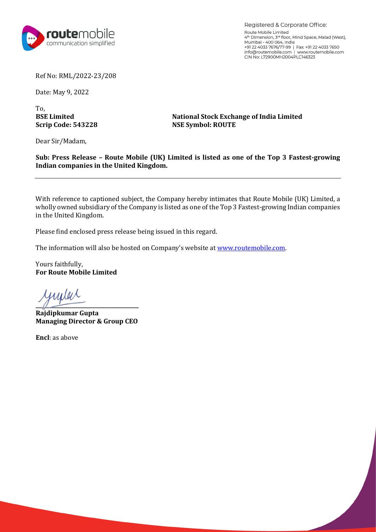

Registered & Corporate Office: Route Mobile Limited 4th Dimension, 3"' floor, Mind Space, Malad (West), Mumbai - 400 064, India +91 22 4033 7676/77-99 I Fax: +91 22 4033 7650 info@routemobile.com I www.routemobile.com CIN No: L72900MH2004PLC146323

Ref No: RML/2022-23/208

Date: May 9, 2022

To,<br>**BSE Limited** 

**BSE Limited**<br> **National Stock Exchange of India Limited**<br> **NSE Symbol: ROUTE NSE Symbol: ROUTE** 

Dear Sir/Madam,

**Sub: Press Release – Route Mobile (UK) Limited is listed as one of the Top 3 Fastest-growing Indian companies in the United Kingdom.**

With reference to captioned subject, the Company hereby intimates that Route Mobile (UK) Limited, a wholly owned subsidiary of the Company is listed as one of the Top 3 Fastest-growing Indian companies in the United Kingdom.

Please find enclosed press release being issued in this regard.

The information will also be hosted on Company's website at [www.routemobile.com.](http://www.routemobile.com/)

Yours faithfully, **For Route Mobile Limited**

yunler  $\sqrt{2}$ 

**Rajdipkumar Gupta Managing Director & Group CEO**

**Encl**: as above